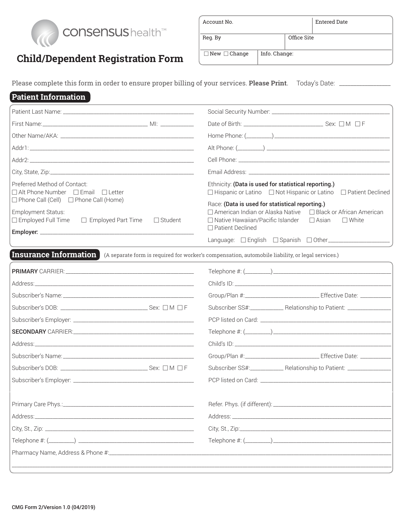

## **Child/Dependent Registration Form**

| Account No.              |               |             | <b>Entered Date</b> |
|--------------------------|---------------|-------------|---------------------|
| Reg. By                  |               | Office Site |                     |
| $\Box$ New $\Box$ Change | Info. Change: |             |                     |

| Please complete this form in order to ensure proper billing of your services. <b>Please Print</b> . Today's Date: ______________ |  |
|----------------------------------------------------------------------------------------------------------------------------------|--|
|                                                                                                                                  |  |

## **Patient Information**

| Preferred Method of Contact:<br>□ Alt Phone Number □ Email □ Letter<br>□ Phone Call (Cell) □ Phone Call (Home)                 | Ethnicity: (Data is used for statistical reporting.)<br>□ Hispanic or Latino □ Not Hispanic or Latino □ Patient Declined                                                                                                   |  |
|--------------------------------------------------------------------------------------------------------------------------------|----------------------------------------------------------------------------------------------------------------------------------------------------------------------------------------------------------------------------|--|
| <b>Employment Status:</b><br>$\Box$ Employed Full Time<br>Employed Part Time<br>$\Box$ Student                                 | Race: (Data is used for statistical reporting.)<br>□ American Indian or Alaska Native<br>□ Black or African American<br>$\Box$ Native Hawaiian/Pacific Islander<br>$\Box$ Asian<br>$\Box$ White<br>$\Box$ Patient Declined |  |
|                                                                                                                                |                                                                                                                                                                                                                            |  |
| <b>Insurance Information</b> (A separate form is required for worker's compensation, automobile liability, or legal services.) |                                                                                                                                                                                                                            |  |
|                                                                                                                                |                                                                                                                                                                                                                            |  |
|                                                                                                                                |                                                                                                                                                                                                                            |  |
|                                                                                                                                |                                                                                                                                                                                                                            |  |
|                                                                                                                                | Group/Plan #: _________________________________ Effective Date: _____________                                                                                                                                              |  |
|                                                                                                                                | Subscriber SS#:_______________ Relationship to Patient: _______________                                                                                                                                                    |  |
|                                                                                                                                |                                                                                                                                                                                                                            |  |
|                                                                                                                                |                                                                                                                                                                                                                            |  |
|                                                                                                                                |                                                                                                                                                                                                                            |  |
|                                                                                                                                | Group/Plan #: _________________________________ Effective Date: _____________                                                                                                                                              |  |
|                                                                                                                                | Subscriber SS#:_______________ Relationship to Patient: __________________                                                                                                                                                 |  |
|                                                                                                                                |                                                                                                                                                                                                                            |  |
|                                                                                                                                |                                                                                                                                                                                                                            |  |
| Primary Care Phys.: _________________                                                                                          |                                                                                                                                                                                                                            |  |
|                                                                                                                                |                                                                                                                                                                                                                            |  |
|                                                                                                                                |                                                                                                                                                                                                                            |  |
|                                                                                                                                |                                                                                                                                                                                                                            |  |
|                                                                                                                                |                                                                                                                                                                                                                            |  |
|                                                                                                                                |                                                                                                                                                                                                                            |  |
|                                                                                                                                |                                                                                                                                                                                                                            |  |